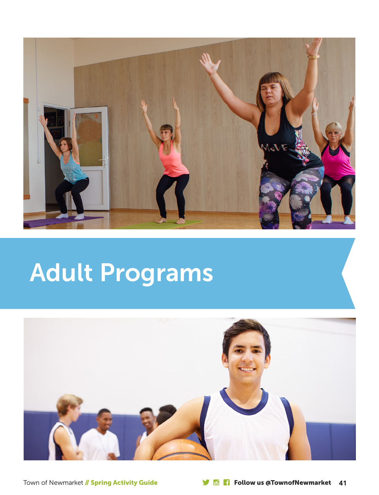

# Adult Programs

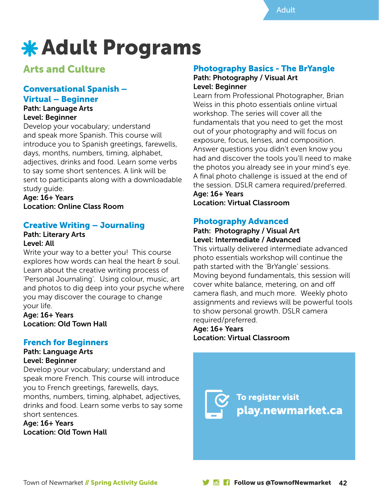## **\* Adult Programs**

## Arts and Culture

## Conversational Spanish – Virtual – Beginner

## Path: Language Arts Level: Beginner

Develop your vocabulary; understand and speak more Spanish. This course will introduce you to Spanish greetings, farewells, days, months, numbers, timing, alphabet, adjectives, drinks and food. Learn some verbs to say some short sentences. A link will be sent to participants along with a downloadable study guide.

Age: 16+ Years Location: Online Class Room

## Creative Writing – Journaling

#### Path: Literary Arts Level: All

Write your way to a better you! This course explores how words can heal the heart  $\theta$  soul. Learn about the creative writing process of 'Personal Journaling'. Using colour, music, art and photos to dig deep into your psyche where you may discover the courage to change your life.

Age: 16+ Years Location: Old Town Hall

## French for Beginners

## Path: Language Arts Level: Beginner

Develop your vocabulary; understand and speak more French. This course will introduce you to French greetings, farewells, days, months, numbers, timing, alphabet, adjectives, drinks and food. Learn some verbs to say some short sentences.

Age: 16+ Years Location: Old Town Hall

## Photography Basics - The BrYangle

#### Path: Photography / Visual Art Level: Beginner

Learn from Professional Photographer, Brian Weiss in this photo essentials online virtual workshop. The series will cover all the fundamentals that you need to get the most out of your photography and will focus on exposure, focus, lenses, and composition. Answer questions you didn't even know you had and discover the tools you'll need to make the photos you already see in your mind's eye. A final photo challenge is issued at the end of the session. DSLR camera required/preferred.

## Age: 16+ Years Location: Virtual Classroom

## Photography Advanced

## Path: Photography / Visual Art Level: Intermediate / Advanced

This virtually delivered intermediate advanced photo essentials workshop will continue the path started with the 'BrYangle' sessions. Moving beyond fundamentals, this session will cover white balance, metering, on and off camera flash, and much more. Weekly photo assignments and reviews will be powerful tools to show personal growth. DSLR camera required/preferred.

## Age: 16+ Years Location: Virtual Classroom

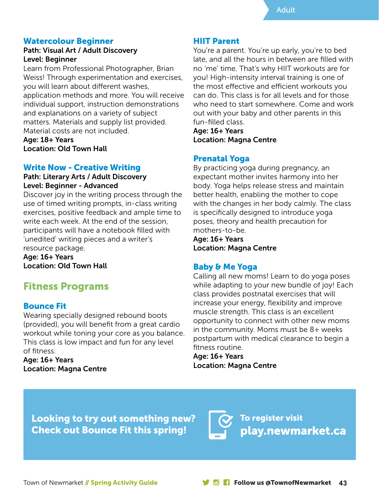## Watercolour Beginner

## Path: Visual Art / Adult Discovery Level: Beginner

Learn from Professional Photographer, Brian Weiss! Through experimentation and exercises, you will learn about different washes, application methods and more. You will receive individual support, instruction demonstrations and explanations on a variety of subject matters. Materials and supply list provided. Material costs are not included. Age: 18+ Years

Location: Old Town Hall

## Write Now - Creative Writing

## Path: Literary Arts / Adult Discovery Level: Beginner - Advanced

Discover joy in the writing process through the use of timed writing prompts, in-class writing exercises, positive feedback and ample time to write each week. At the end of the session, participants will have a notebook filled with 'unedited' writing pieces and a writer's resource package.

Age: 16+ Years Location: Old Town Hall

## Fitness Programs

## Bounce Fit

Wearing specially designed rebound boots (provided), you will benefit from a great cardio workout while toning your core as you balance. This class is low impact and fun for any level of fitness.

Age: 16+ Years Location: Magna Centre

## HIIT Parent

You're a parent. You're up early, you're to bed late, and all the hours in between are filled with no 'me' time. That's why HIIT workouts are for you! High-intensity interval training is one of the most effective and efficient workouts you can do. This class is for all levels and for those who need to start somewhere. Come and work out with your baby and other parents in this fun-filled class.

Age: 16+ Years Location: Magna Centre

## Prenatal Yoga

By practicing yoga during pregnancy, an expectant mother invites harmony into her body. Yoga helps release stress and maintain better health, enabling the mother to cope with the changes in her body calmly. The class is specifically designed to introduce yoga poses, theory and health precaution for mothers-to-be.

Age: 16+ Years Location: Magna Centre

## Baby & Me Yoga

Calling all new moms! Learn to do yoga poses while adapting to your new bundle of joy! Each class provides postnatal exercises that will increase your energy, flexibility and improve muscle strength. This class is an excellent opportunity to connect with other new moms in the community. Moms must be 8+ weeks postpartum with medical clearance to begin a fitness routine.

Age: 16+ Years Location: Magna Centre

Looking to try out something new? Check out Bounce Fit this spring!

To register visit play.newmarket.ca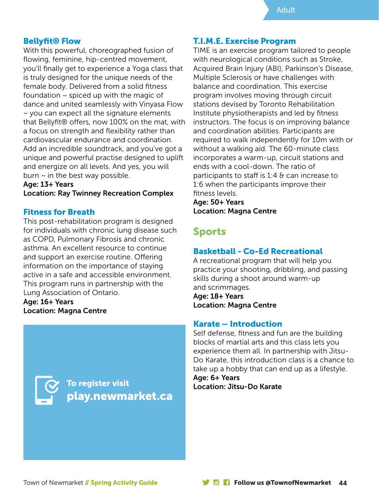## Bellyfit® Flow

With this powerful, choreographed fusion of flowing, feminine, hip-centred movement, you'll finally get to experience a Yoga class that is truly designed for the unique needs of the female body. Delivered from a solid fitness foundation  $\sim$  spiced up with the magic of dance and united seamlessly with Vinyasa Flow ~ you can expect all the signature elements that Bellyfit® offers, now 100% on the mat, with a focus on strength and flexibility rather than cardiovascular endurance and coordination. Add an incredible soundtrack, and you've got a unique and powerful practise designed to uplift and energize on all levels. And yes, you will burn  $\sim$  in the best way possible.

#### Age: 13+ Years

Location: Ray Twinney Recreation Complex

## Fitness for Breath

This post-rehabilitation program is designed for individuals with chronic lung disease such as COPD, Pulmonary Fibrosis and chronic asthma. An excellent resource to continue and support an exercise routine. Offering information on the importance of staying active in a safe and accessible environment. This program runs in partnership with the Lung Association of Ontario.

## Age: 16+ Years Location: Magna Centre

To register visit play.newmarket.ca

## T.I.M.E. Exercise Program

TIME is an exercise program tailored to people with neurological conditions such as Stroke, Acquired Brain Injury (ABI), Parkinson's Disease, Multiple Sclerosis or have challenges with balance and coordination. This exercise program involves moving through circuit stations devised by Toronto Rehabilitation Institute physiotherapists and led by fitness instructors. The focus is on improving balance and coordination abilities. Participants are required to walk independently for 10m with or without a walking aid. The 60-minute class incorporates a warm-up, circuit stations and ends with a cool-down. The ratio of participants to staff is  $1:4$   $\theta$  can increase to 1:6 when the participants improve their fitness levels.

Age: 50+ Years Location: Magna Centre

## Sports

## Basketball - Co-Ed Recreational

A recreational program that will help you practice your shooting, dribbling, and passing skills during a shoot around warm-up and scrimmages.

Age: 18+ Years Location: Magna Centre

## Karate – Introduction

Self defense, fitness and fun are the building blocks of martial arts and this class lets you experience them all. In partnership with Jitsu-Do Karate, this introduction class is a chance to take up a hobby that can end up as a lifestyle.

## Age: 6+ Years Location: Jitsu-Do Karate